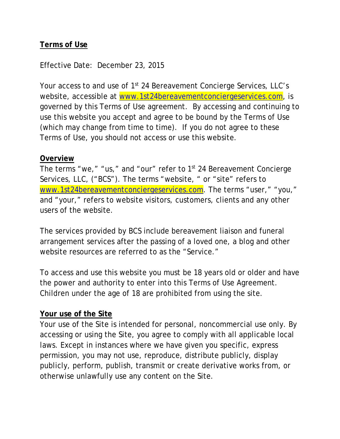## **Terms of Use**

Effective Date: December 23, 2015

Your access to and use of 1<sup>st</sup> 24 Bereavement Concierge Services, LLC's website, accessible at [www.1st24bereavementconciergeservices.com,](http://www.1st24bereavementconciergeservices.com/) is governed by this Terms of Use agreement. By accessing and continuing to use this website you accept and agree to be bound by the Terms of Use (which may change from time to time). If you do not agree to these Terms of Use, you should not access or use this website.

#### **Overview**

The terms "we," "us," and "our" refer to 1<sup>st</sup> 24 Bereavement Concierge Services, LLC, ("BCS"). The terms "website, " or "site" refers to [www.1st24bereavementconciergeservices.com.](http://www.1st24bereavementconciergeservices.com/) The terms "user," "you," and "your," refers to website visitors, customers, clients and any other users of the website.

The services provided by BCS include bereavement liaison and funeral arrangement services after the passing of a loved one, a blog and other website resources are referred to as the "Service."

To access and use this website you must be 18 years old or older and have the power and authority to enter into this Terms of Use Agreement. Children under the age of 18 are prohibited from using the site.

### **Your use of the Site**

Your use of the Site is intended for personal, noncommercial use only. By accessing or using the Site, you agree to comply with all applicable local laws. Except in instances where we have given you specific, express permission, you may not use, reproduce, distribute publicly, display publicly, perform, publish, transmit or create derivative works from, or otherwise unlawfully use any content on the Site.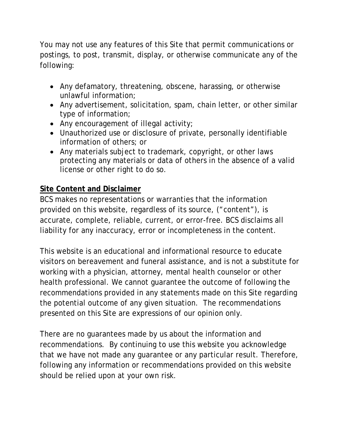You may not use any features of this Site that permit communications or postings, to post, transmit, display, or otherwise communicate any of the following:

- Any defamatory, threatening, obscene, harassing, or otherwise unlawful information;
- Any advertisement, solicitation, spam, chain letter, or other similar type of information;
- Any encouragement of illegal activity;
- Unauthorized use or disclosure of private, personally identifiable information of others; or
- Any materials subject to trademark, copyright, or other laws protecting any materials or data of others in the absence of a valid license or other right to do so.

# **Site Content and Disclaimer**

BCS makes no representations or warranties that the information provided on this website, regardless of its source, ("content"), is accurate, complete, reliable, current, or error-free. BCS disclaims all liability for any inaccuracy, error or incompleteness in the content.

This website is an educational and informational resource to educate visitors on bereavement and funeral assistance, and is not a substitute for working with a physician, attorney, mental health counselor or other health professional. We cannot guarantee the outcome of following the recommendations provided in any statements made on this Site regarding the potential outcome of any given situation. The recommendations presented on this Site are expressions of our opinion only.

There are no guarantees made by us about the information and recommendations. By continuing to use this website you acknowledge that we have not made any guarantee or any particular result. Therefore, following any information or recommendations provided on this website should be relied upon at your own risk.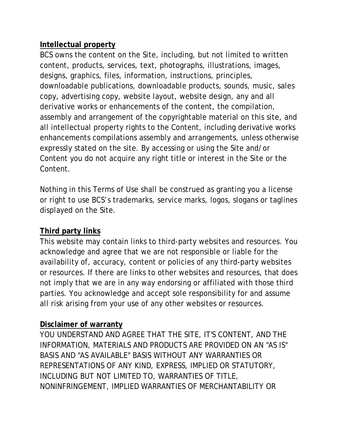## **Intellectual property**

BCS owns the content on the Site, including, but not limited to written content, products, services, text, photographs, illustrations, images, designs, graphics, files, information, instructions, principles, downloadable publications, downloadable products, sounds, music, sales copy, advertising copy, website layout, website design, any and all derivative works or enhancements of the content, the compilation, assembly and arrangement of the copyrightable material on this site, and all intellectual property rights to the Content, including derivative works enhancements compilations assembly and arrangements, unless otherwise expressly stated on the site. By accessing or using the Site and/or Content you do not acquire any right title or interest in the Site or the Content.

Nothing in this Terms of Use shall be construed as granting you a license or right to use BCS's trademarks, service marks, logos, slogans or taglines displayed on the Site.

## **Third party links**

This website may contain links to third-party websites and resources. You acknowledge and agree that we are not responsible or liable for the availability of, accuracy, content or policies of any third-party websites or resources. If there are links to other websites and resources, that does not imply that we are in any way endorsing or affiliated with those third parties. You acknowledge and accept sole responsibility for and assume all risk arising from your use of any other websites or resources.

### **Disclaimer of warranty**

YOU UNDERSTAND AND AGREE THAT THE SITE, IT'S CONTENT, AND THE INFORMATION, MATERIALS AND PRODUCTS ARE PROVIDED ON AN "AS IS" BASIS AND "AS AVAILABLE" BASIS WITHOUT ANY WARRANTIES OR REPRESENTATIONS OF ANY KIND, EXPRESS, IMPLIED OR STATUTORY, INCLUDING BUT NOT LIMITED TO, WARRANTIES OF TITLE, NONINFRINGEMENT, IMPLIED WARRANTIES OF MERCHANTABILITY OR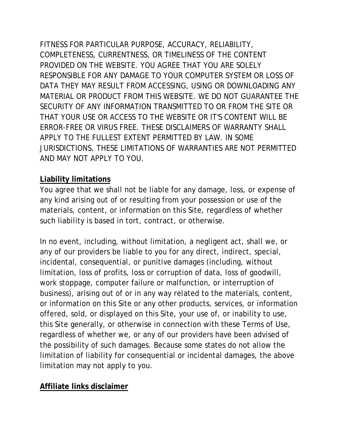FITNESS FOR PARTICULAR PURPOSE, ACCURACY, RELIABILITY, COMPLETENESS, CURRENTNESS, OR TIMELINESS OF THE CONTENT PROVIDED ON THE WEBSITE. YOU AGREE THAT YOU ARE SOLELY RESPONSIBLE FOR ANY DAMAGE TO YOUR COMPUTER SYSTEM OR LOSS OF DATA THEY MAY RESULT FROM ACCESSING, USING OR DOWNLOADING ANY MATERIAL OR PRODUCT FROM THIS WEBSITE. WE DO NOT GUARANTEE THE SECURITY OF ANY INFORMATION TRANSMITTED TO OR FROM THE SITE OR THAT YOUR USE OR ACCESS TO THE WEBSITE OR IT'S CONTENT WILL BE ERROR-FREE OR VIRUS FREE. THESE DISCLAIMERS OF WARRANTY SHALL APPLY TO THE FULLEST EXTENT PERMITTED BY LAW. IN SOME JURISDICTIONS, THESE LIMITATIONS OF WARRANTIES ARE NOT PERMITTED AND MAY NOT APPLY TO YOU.

### **Liability limitations**

You agree that we shall not be liable for any damage, loss, or expense of any kind arising out of or resulting from your possession or use of the materials, content, or information on this Site, regardless of whether such liability is based in tort, contract, or otherwise.

In no event, including, without limitation, a negligent act, shall we, or any of our providers be liable to you for any direct, indirect, special, incidental, consequential, or punitive damages (including, without limitation, loss of profits, loss or corruption of data, loss of goodwill, work stoppage, computer failure or malfunction, or interruption of business), arising out of or in any way related to the materials, content, or information on this Site or any other products, services, or information offered, sold, or displayed on this Site, your use of, or inability to use, this Site generally, or otherwise in connection with these Terms of Use, regardless of whether we, or any of our providers have been advised of the possibility of such damages. Because some states do not allow the limitation of liability for consequential or incidental damages, the above limitation may not apply to you.

## **Affiliate links disclaimer**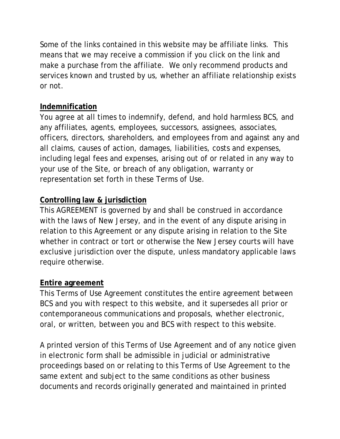Some of the links contained in this website may be affiliate links. This means that we may receive a commission if you click on the link and make a purchase from the affiliate. We only recommend products and services known and trusted by us, whether an affiliate relationship exists or not.

## **Indemnification**

You agree at all times to indemnify, defend, and hold harmless BCS, and any affiliates, agents, employees, successors, assignees, associates, officers, directors, shareholders, and employees from and against any and all claims, causes of action, damages, liabilities, costs and expenses, including legal fees and expenses, arising out of or related in any way to your use of the Site, or breach of any obligation, warranty or representation set forth in these Terms of Use.

# **Controlling law & jurisdiction**

This AGREEMENT is governed by and shall be construed in accordance with the laws of New Jersey, and in the event of any dispute arising in relation to this Agreement or any dispute arising in relation to the Site whether in contract or tort or otherwise the New Jersey courts will have exclusive jurisdiction over the dispute, unless mandatory applicable laws require otherwise.

## **Entire agreement**

This Terms of Use Agreement constitutes the entire agreement between BCS and you with respect to this website, and it supersedes all prior or contemporaneous communications and proposals, whether electronic, oral, or written, between you and BCS with respect to this website.

A printed version of this Terms of Use Agreement and of any notice given in electronic form shall be admissible in judicial or administrative proceedings based on or relating to this Terms of Use Agreement to the same extent and subject to the same conditions as other business documents and records originally generated and maintained in printed